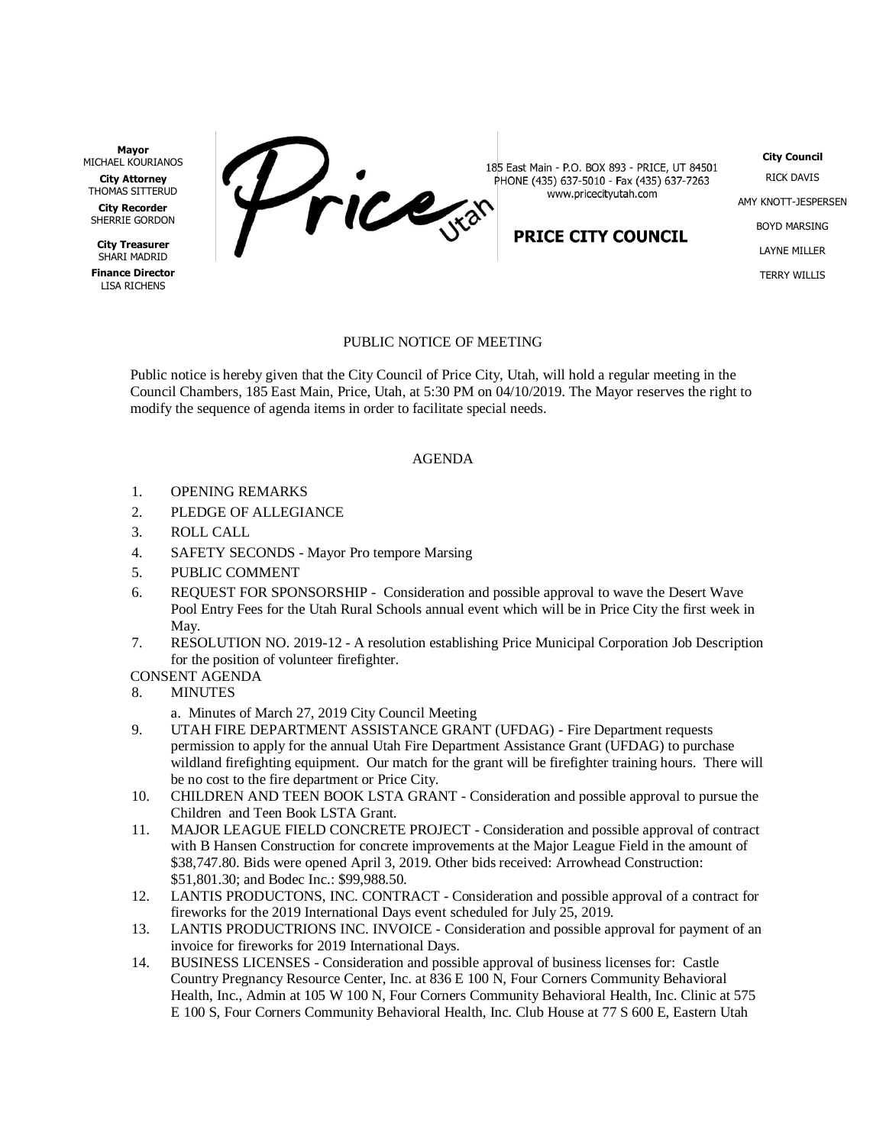**Mayor** MICHAEL KOURIANOS

**City Attorney** THOMAS SITTERUD **City Recorder** SHERRIE GORDON

**City Treasurer** SHARI MADRID

**Finance Director** LISA RICHENS



185 East Main - P.O. BOX 893 - PRICE, UT 84501 PHONE (435) 637-5010 - Fax (435) 637-7263 www.pricecityutah.com

PRICE CITY COUNCIL

**City Council** RICK DAVIS AMY KNOTT-JESPERSEN BOYD MARSING LAYNE MILLER TERRY WILLIS

## PUBLIC NOTICE OF MEETING

Public notice is hereby given that the City Council of Price City, Utah, will hold a regular meeting in the Council Chambers, 185 East Main, Price, Utah, at 5:30 PM on 04/10/2019. The Mayor reserves the right to modify the sequence of agenda items in order to facilitate special needs.

## AGENDA

- 1. OPENING REMARKS
- 2. PLEDGE OF ALLEGIANCE
- 3. ROLL CALL
- 4. SAFETY SECONDS Mayor Pro tempore Marsing
- 5. PUBLIC COMMENT
- 6. REQUEST FOR SPONSORSHIP Consideration and possible approval to wave the Desert Wave Pool Entry Fees for the Utah Rural Schools annual event which will be in Price City the first week in May.
- 7. RESOLUTION NO. 2019-12 A resolution establishing Price Municipal Corporation Job Description for the position of volunteer firefighter.

## CONSENT AGENDA

8. MINUTES

a. Minutes of March 27, 2019 City Council Meeting

- 9. UTAH FIRE DEPARTMENT ASSISTANCE GRANT (UFDAG) Fire Department requests permission to apply for the annual Utah Fire Department Assistance Grant (UFDAG) to purchase wildland firefighting equipment. Our match for the grant will be firefighter training hours. There will be no cost to the fire department or Price City.
- 10. CHILDREN AND TEEN BOOK LSTA GRANT Consideration and possible approval to pursue the Children and Teen Book LSTA Grant.
- 11. MAJOR LEAGUE FIELD CONCRETE PROJECT Consideration and possible approval of contract with B Hansen Construction for concrete improvements at the Major League Field in the amount of \$38,747.80. Bids were opened April 3, 2019. Other bids received: Arrowhead Construction: \$51,801.30; and Bodec Inc.: \$99,988.50.
- 12. LANTIS PRODUCTONS, INC. CONTRACT Consideration and possible approval of a contract for fireworks for the 2019 International Days event scheduled for July 25, 2019.
- 13. LANTIS PRODUCTRIONS INC. INVOICE Consideration and possible approval for payment of an invoice for fireworks for 2019 International Days.
- 14. BUSINESS LICENSES Consideration and possible approval of business licenses for: Castle Country Pregnancy Resource Center, Inc. at 836 E 100 N, Four Corners Community Behavioral Health, Inc., Admin at 105 W 100 N, Four Corners Community Behavioral Health, Inc. Clinic at 575 E 100 S, Four Corners Community Behavioral Health, Inc. Club House at 77 S 600 E, Eastern Utah